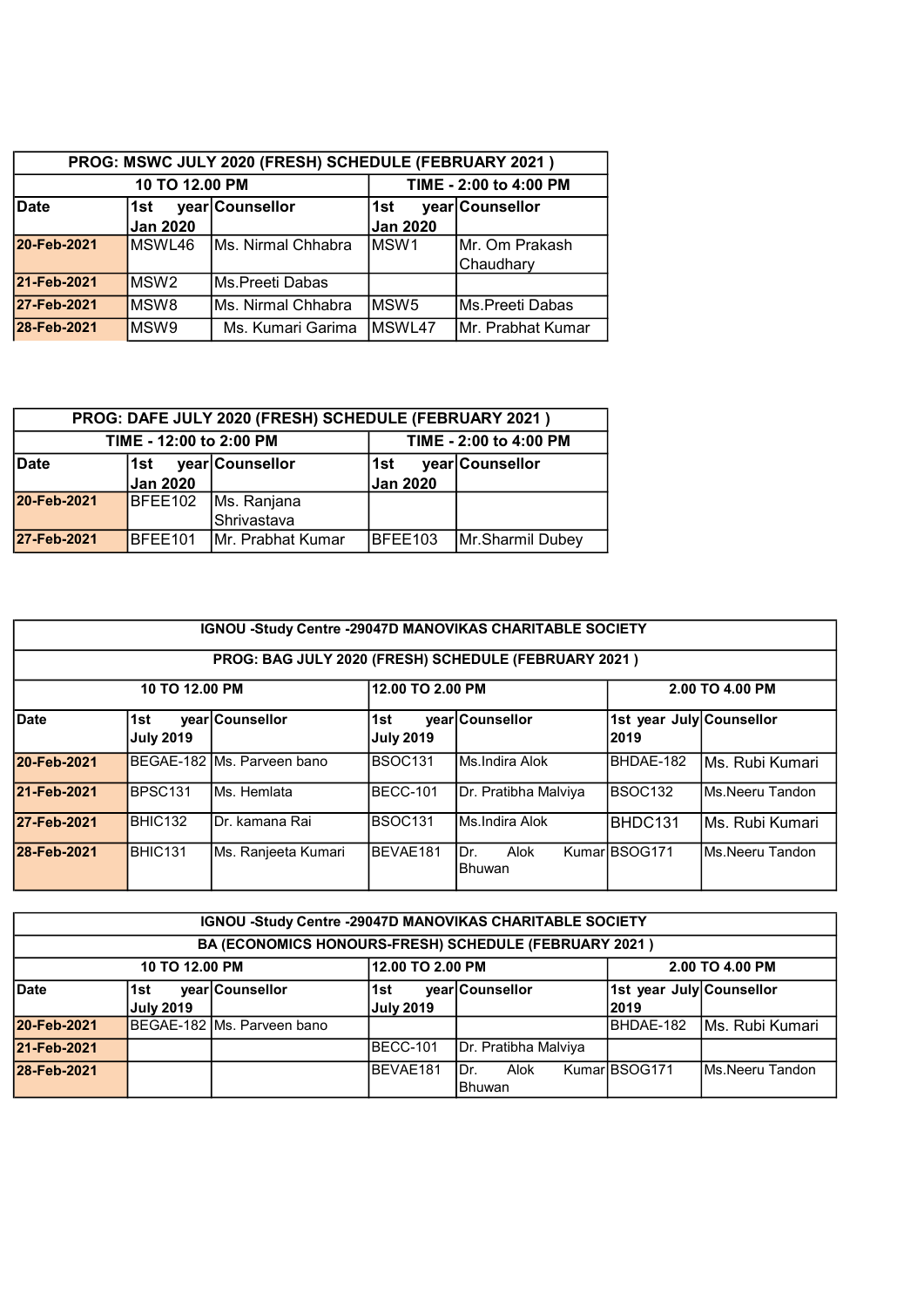| PROG: MSWC JULY 2020 (FRESH) SCHEDULE (FEBRUARY 2021) |                                |                        |                 |                    |  |  |  |  |
|-------------------------------------------------------|--------------------------------|------------------------|-----------------|--------------------|--|--|--|--|
|                                                       | 10 TO 12.00 PM                 | TIME - 2:00 to 4:00 PM |                 |                    |  |  |  |  |
| <b>Date</b>                                           | year Counsellor<br>1st<br>∣1st |                        |                 | year Counsellor    |  |  |  |  |
|                                                       | Jan 2020                       |                        | <b>Jan 2020</b> |                    |  |  |  |  |
| 20-Feb-2021                                           | MSWL46                         | Ms. Nirmal Chhabra     | IMSW1           | Mr. Om Prakash     |  |  |  |  |
|                                                       |                                |                        |                 | Chaudhary          |  |  |  |  |
| 21-Feb-2021                                           | MSW <sub>2</sub>               | IMs.Preeti Dabas       |                 |                    |  |  |  |  |
| 27-Feb-2021                                           | IMSW8                          | Ms. Nirmal Chhabra     | lMSW5           | Ms.Preeti Dabas    |  |  |  |  |
| 28-Feb-2021                                           | MSW9                           | Ms. Kumari Garima      | <b>IMSWL47</b>  | IMr. Prabhat Kumar |  |  |  |  |

| PROG: DAFE JULY 2020 (FRESH) SCHEDULE (FEBRUARY 2021) |                         |                           |          |                  |  |  |  |
|-------------------------------------------------------|-------------------------|---------------------------|----------|------------------|--|--|--|
|                                                       | TIME - 12:00 to 2:00 PM | TIME - 2:00 to 4:00 PM    |          |                  |  |  |  |
| Date                                                  | ∣1st                    | year Counsellor           | l1st     | year Counsellor  |  |  |  |
|                                                       | <b>Jan 2020</b>         |                           | Jan 2020 |                  |  |  |  |
| 20-Feb-2021                                           | BFEE102                 | Ms. Ranjana               |          |                  |  |  |  |
|                                                       |                         | Shrivastava               |          |                  |  |  |  |
| 27-Feb-2021                                           | BFEE101                 | <b>IMr. Prabhat Kumar</b> | BFEE103  | Mr.Sharmil Dubey |  |  |  |

|             | <b>IGNOU -Study Centre -29047D MANOVIKAS CHARITABLE SOCIETY</b> |                                                      |                         |                              |                                  |                  |  |  |  |
|-------------|-----------------------------------------------------------------|------------------------------------------------------|-------------------------|------------------------------|----------------------------------|------------------|--|--|--|
|             |                                                                 | PROG: BAG JULY 2020 (FRESH) SCHEDULE (FEBRUARY 2021) |                         |                              |                                  |                  |  |  |  |
|             | 12.00 TO 2.00 PM<br>2.00 TO 4.00 PM<br>10 TO 12.00 PM           |                                                      |                         |                              |                                  |                  |  |  |  |
| <b>Date</b> | 1st<br><b>July 2019</b>                                         | year Counsellor                                      | 1st<br><b>July 2019</b> | year Counsellor              | 1st year July Counsellor<br>2019 |                  |  |  |  |
| 20-Feb-2021 |                                                                 | BEGAE-182 IMs. Parveen bano                          | BSOC131                 | Ms.Indira Alok               | BHDAE-182                        | IMs. Rubi Kumari |  |  |  |
| 21-Feb-2021 | BPSC <sub>131</sub>                                             | Ms. Hemlata                                          | BECC-101                | Dr. Pratibha Malviya         | BSOC132                          | Ms.Neeru Tandon  |  |  |  |
| 27-Feb-2021 | BHIC132                                                         | IDr. kamana Rai                                      | BSOC <sub>131</sub>     | Ms.Indira Alok               | BHDC131                          | İMs. Rubi Kumari |  |  |  |
| 28-Feb-2021 | BHIC131                                                         | Ms. Ranjeeta Kumari                                  | <b>BEVAE181</b>         | Dr.<br>Alok<br><b>Bhuwan</b> | KumarIBSOG171                    | Ms.Neeru Tandon  |  |  |  |

| <b>IGNOU -Study Centre -29047D MANOVIKAS CHARITABLE SOCIETY</b> |                                                       |                              |                  |                      |                          |                  |  |  |  |
|-----------------------------------------------------------------|-------------------------------------------------------|------------------------------|------------------|----------------------|--------------------------|------------------|--|--|--|
|                                                                 | BA (ECONOMICS HONOURS-FRESH) SCHEDULE (FEBRUARY 2021) |                              |                  |                      |                          |                  |  |  |  |
|                                                                 | 12.00 TO 2.00 PM<br>10 TO 12.00 PM<br>2.00 TO 4.00 PM |                              |                  |                      |                          |                  |  |  |  |
| <b>Date</b>                                                     | 1st                                                   | year Counsellor              | 1st              | year Counsellor      | 1st year July Counsellor |                  |  |  |  |
|                                                                 | <b>July 2019</b>                                      |                              | <b>July 2019</b> |                      | 2019                     |                  |  |  |  |
| 20-Feb-2021                                                     |                                                       | IBEGAE-182 IMs. Parveen bano |                  |                      | BHDAE-182                | Ms. Rubi Kumari  |  |  |  |
| 21-Feb-2021                                                     |                                                       |                              | <b>IBECC-101</b> | Dr. Pratibha Malviya |                          |                  |  |  |  |
| 28-Feb-2021                                                     |                                                       |                              | <b>BEVAE181</b>  | IDr.<br>Alok         | KumarIBSOG171            | IMs.Neeru Tandon |  |  |  |
|                                                                 |                                                       |                              |                  | <b>IBhuwan</b>       |                          |                  |  |  |  |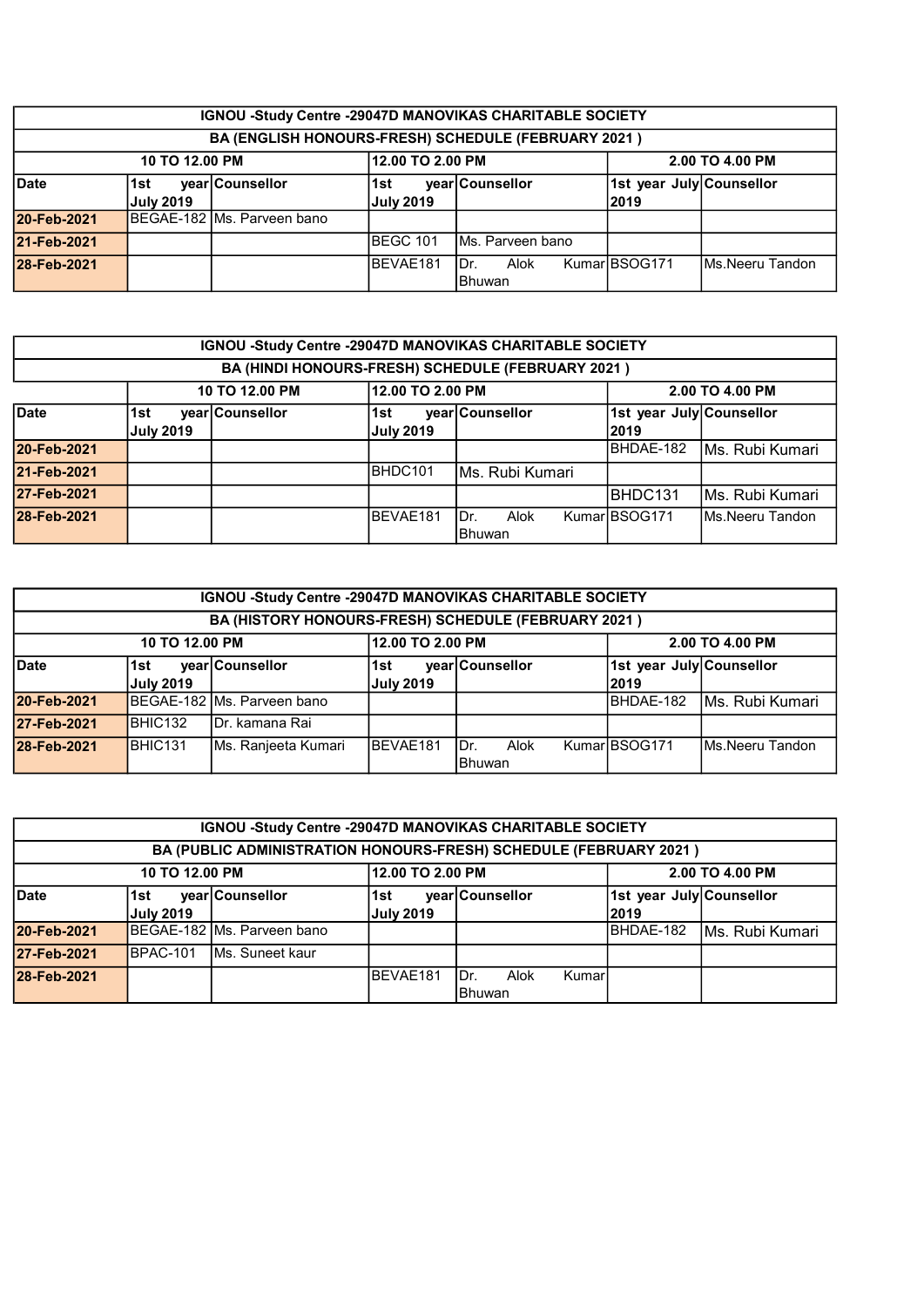| IGNOU -Study Centre -29047D MANOVIKAS CHARITABLE SOCIETY |                                                               |                             |                  |                   |                          |  |  |  |
|----------------------------------------------------------|---------------------------------------------------------------|-----------------------------|------------------|-------------------|--------------------------|--|--|--|
|                                                          | BA (ENGLISH HONOURS-FRESH) SCHEDULE (FEBRUARY 2021)           |                             |                  |                   |                          |  |  |  |
| 12.00 TO 2.00 PM<br>2.00 TO 4.00 PM<br>10 TO 12.00 PM    |                                                               |                             |                  |                   |                          |  |  |  |
| <b>Date</b>                                              | 1st                                                           | year Counsellor             | 1st              | year Counsellor   | 1st year July Counsellor |  |  |  |
|                                                          | <b>July 2019</b>                                              |                             | <b>July 2019</b> |                   | 2019                     |  |  |  |
| 20-Feb-2021                                              |                                                               | BEGAE-182 IMs. Parveen bano |                  |                   |                          |  |  |  |
| 21-Feb-2021                                              |                                                               |                             | <b>IBEGC 101</b> | IMs. Parveen bano |                          |  |  |  |
| 28-Feb-2021                                              | KumarIBSOG171<br>lMs.Neeru Tandon<br>BEVAE181<br>IDr.<br>Alok |                             |                  |                   |                          |  |  |  |
|                                                          |                                                               |                             |                  | lBhuwan           |                          |  |  |  |

|             | IGNOU -Study Centre -29047D MANOVIKAS CHARITABLE SOCIETY |                 |                         |                                                   |                                   |                  |  |  |
|-------------|----------------------------------------------------------|-----------------|-------------------------|---------------------------------------------------|-----------------------------------|------------------|--|--|
|             |                                                          |                 |                         | BA (HINDI HONOURS-FRESH) SCHEDULE (FEBRUARY 2021) |                                   |                  |  |  |
|             | 12.00 TO 2.00 PM<br>10 TO 12.00 PM<br>2.00 TO 4.00 PM    |                 |                         |                                                   |                                   |                  |  |  |
| <b>Date</b> | 1st<br><b>July 2019</b>                                  | vearlCounsellor | 1st<br><b>July 2019</b> | year Counsellor                                   | 1st year July Counsellor<br> 2019 |                  |  |  |
| 20-Feb-2021 |                                                          |                 |                         |                                                   | BHDAE-182                         | Ms. Rubi Kumari  |  |  |
| 21-Feb-2021 |                                                          |                 | BHDC101                 | lMs. Rubi Kumari                                  |                                   |                  |  |  |
| 27-Feb-2021 |                                                          |                 |                         |                                                   | <b>IBHDC131</b>                   | Ms. Rubi Kumari  |  |  |
| 28-Feb-2021 |                                                          |                 | BEVAE181                | Alok<br>Dr.<br><b>I</b> Bhuwan                    | KumarIBSOG171                     | IMs.Neeru Tandon |  |  |

|             | IGNOU -Study Centre -29047D MANOVIKAS CHARITABLE SOCIETY                                      |                              |                  |                 |  |                          |                  |  |
|-------------|-----------------------------------------------------------------------------------------------|------------------------------|------------------|-----------------|--|--------------------------|------------------|--|
|             | BA (HISTORY HONOURS-FRESH) SCHEDULE (FEBRUARY 2021)                                           |                              |                  |                 |  |                          |                  |  |
|             | 12.00 TO 2.00 PM<br>10 TO 12.00 PM<br>2.00 TO 4.00 PM                                         |                              |                  |                 |  |                          |                  |  |
| <b>Date</b> | 1st                                                                                           | year Counsellor              | 1st              | year Counsellor |  | 1st year July Counsellor |                  |  |
|             | <b>July 2019</b>                                                                              |                              | <b>July 2019</b> |                 |  | 2019                     |                  |  |
| 20-Feb-2021 |                                                                                               | IBEGAE-182 IMs. Parveen bano |                  |                 |  | BHDAE-182                | IMs. Rubi Kumari |  |
| 27-Feb-2021 | BHIC132                                                                                       | IDr. kamana Rai              |                  |                 |  |                          |                  |  |
| 28-Feb-2021 | BHIC131<br>KumarIBSOG171<br>Ms. Ranjeeta Kumari<br>BEVAE181<br>Ms.Neeru Tandon<br>Dr.<br>Alok |                              |                  |                 |  |                          |                  |  |
|             |                                                                                               |                              |                  | <b>Bhuwan</b>   |  |                          |                  |  |

| <b>IGNOU -Study Centre -29047D MANOVIKAS CHARITABLE SOCIETY</b> |                  |                                                                   |                  |                 |        |                          |                  |
|-----------------------------------------------------------------|------------------|-------------------------------------------------------------------|------------------|-----------------|--------|--------------------------|------------------|
|                                                                 |                  | BA (PUBLIC ADMINISTRATION HONOURS-FRESH) SCHEDULE (FEBRUARY 2021) |                  |                 |        |                          |                  |
| 10 TO 12.00 PM                                                  |                  |                                                                   | 12.00 TO 2.00 PM |                 |        | 2.00 TO 4.00 PM          |                  |
| Date                                                            | 1st              | vear Counsellor                                                   | 1st              | year Counsellor |        | 1st year July Counsellor |                  |
|                                                                 | <b>July 2019</b> |                                                                   | <b>July 2019</b> |                 |        | 2019                     |                  |
| 20-Feb-2021                                                     |                  | IBEGAE-182 IMs. Parveen bano                                      |                  |                 |        | BHDAE-182                | IMs. Rubi Kumari |
| 27-Feb-2021                                                     | IBPAC-101        | <b>IMs. Suneet kaur</b>                                           |                  |                 |        |                          |                  |
| 28-Feb-2021                                                     |                  |                                                                   | BEVAE181         | IDr.<br>Alok    | Kumarl |                          |                  |
|                                                                 |                  |                                                                   |                  | lBhuwan         |        |                          |                  |